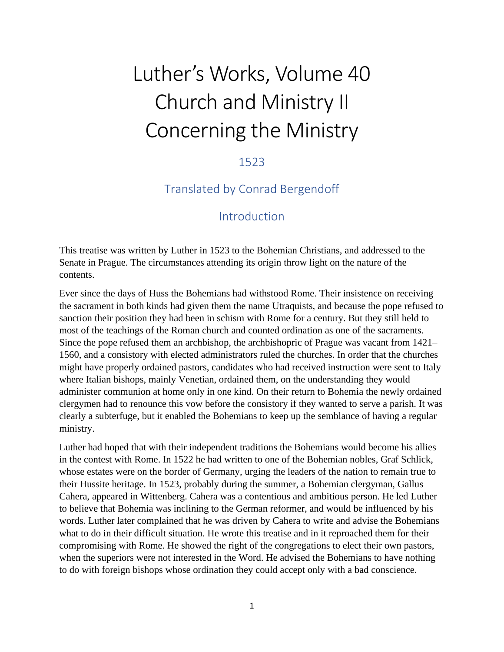# Luther's Works, Volume 40 Church and Ministry II Concerning the Ministry

### 1523

## Translated by Conrad Bergendoff

## Introduction

This treatise was written by Luther in 1523 to the Bohemian Christians, and addressed to the Senate in Prague. The circumstances attending its origin throw light on the nature of the contents.

Ever since the days of Huss the Bohemians had withstood Rome. Their insistence on receiving the sacrament in both kinds had given them the name Utraquists, and because the pope refused to sanction their position they had been in schism with Rome for a century. But they still held to most of the teachings of the Roman church and counted ordination as one of the sacraments. Since the pope refused them an archbishop, the archbishopric of Prague was vacant from 1421– 1560, and a consistory with elected administrators ruled the churches. In order that the churches might have properly ordained pastors, candidates who had received instruction were sent to Italy where Italian bishops, mainly Venetian, ordained them, on the understanding they would administer communion at home only in one kind. On their return to Bohemia the newly ordained clergymen had to renounce this vow before the consistory if they wanted to serve a parish. It was clearly a subterfuge, but it enabled the Bohemians to keep up the semblance of having a regular ministry.

Luther had hoped that with their independent traditions the Bohemians would become his allies in the contest with Rome. In 1522 he had written to one of the Bohemian nobles, Graf Schlick, whose estates were on the border of Germany, urging the leaders of the nation to remain true to their Hussite heritage. In 1523, probably during the summer, a Bohemian clergyman, Gallus Cahera, appeared in Wittenberg. Cahera was a contentious and ambitious person. He led Luther to believe that Bohemia was inclining to the German reformer, and would be influenced by his words. Luther later complained that he was driven by Cahera to write and advise the Bohemians what to do in their difficult situation. He wrote this treatise and in it reproached them for their compromising with Rome. He showed the right of the congregations to elect their own pastors, when the superiors were not interested in the Word. He advised the Bohemians to have nothing to do with foreign bishops whose ordination they could accept only with a bad conscience.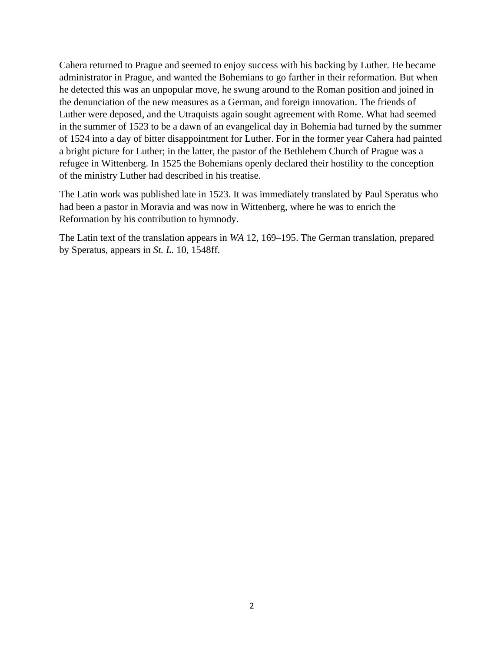Cahera returned to Prague and seemed to enjoy success with his backing by Luther. He became administrator in Prague, and wanted the Bohemians to go farther in their reformation. But when he detected this was an unpopular move, he swung around to the Roman position and joined in the denunciation of the new measures as a German, and foreign innovation. The friends of Luther were deposed, and the Utraquists again sought agreement with Rome. What had seemed in the summer of 1523 to be a dawn of an evangelical day in Bohemia had turned by the summer of 1524 into a day of bitter disappointment for Luther. For in the former year Cahera had painted a bright picture for Luther; in the latter, the pastor of the Bethlehem Church of Prague was a refugee in Wittenberg. In 1525 the Bohemians openly declared their hostility to the conception of the ministry Luther had described in his treatise.

The Latin work was published late in 1523. It was immediately translated by Paul Speratus who had been a pastor in Moravia and was now in Wittenberg, where he was to enrich the Reformation by his contribution to hymnody.

The Latin text of the translation appears in *WA* 12, 169–195. The German translation, prepared by Speratus, appears in *St. L.* 10, 1548ff.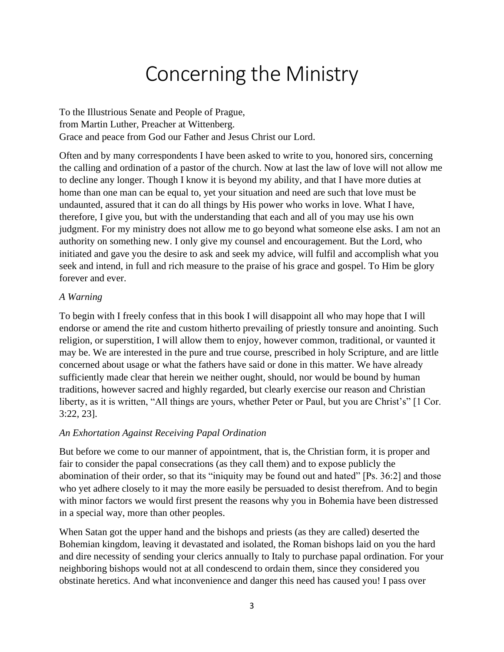## Concerning the Ministry

To the Illustrious Senate and People of Prague, from Martin Luther, Preacher at Wittenberg. Grace and peace from God our Father and Jesus Christ our Lord.

Often and by many correspondents I have been asked to write to you, honored sirs, concerning the calling and ordination of a pastor of the church. Now at last the law of love will not allow me to decline any longer. Though I know it is beyond my ability, and that I have more duties at home than one man can be equal to, yet your situation and need are such that love must be undaunted, assured that it can do all things by His power who works in love. What I have, therefore, I give you, but with the understanding that each and all of you may use his own judgment. For my ministry does not allow me to go beyond what someone else asks. I am not an authority on something new. I only give my counsel and encouragement. But the Lord, who initiated and gave you the desire to ask and seek my advice, will fulfil and accomplish what you seek and intend, in full and rich measure to the praise of his grace and gospel. To Him be glory forever and ever.

### *A Warning*

To begin with I freely confess that in this book I will disappoint all who may hope that I will endorse or amend the rite and custom hitherto prevailing of priestly tonsure and anointing. Such religion, or superstition, I will allow them to enjoy, however common, traditional, or vaunted it may be. We are interested in the pure and true course, prescribed in holy Scripture, and are little concerned about usage or what the fathers have said or done in this matter. We have already sufficiently made clear that herein we neither ought, should, nor would be bound by human traditions, however sacred and highly regarded, but clearly exercise our reason and Christian liberty, as it is written, "All things are yours, whether Peter or Paul, but you are Christ's" [1 Cor. 3:22, 23].

### *An Exhortation Against Receiving Papal Ordination*

But before we come to our manner of appointment, that is, the Christian form, it is proper and fair to consider the papal consecrations (as they call them) and to expose publicly the abomination of their order, so that its "iniquity may be found out and hated" [Ps. 36:2] and those who yet adhere closely to it may the more easily be persuaded to desist therefrom. And to begin with minor factors we would first present the reasons why you in Bohemia have been distressed in a special way, more than other peoples.

When Satan got the upper hand and the bishops and priests (as they are called) deserted the Bohemian kingdom, leaving it devastated and isolated, the Roman bishops laid on you the hard and dire necessity of sending your clerics annually to Italy to purchase papal ordination. For your neighboring bishops would not at all condescend to ordain them, since they considered you obstinate heretics. And what inconvenience and danger this need has caused you! I pass over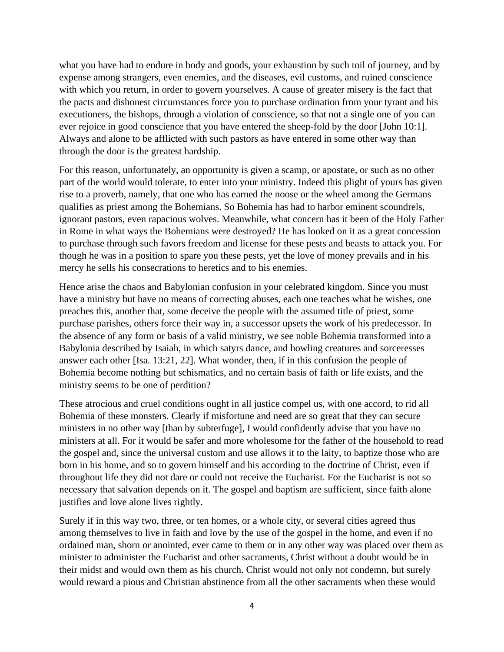what you have had to endure in body and goods, your exhaustion by such toil of journey, and by expense among strangers, even enemies, and the diseases, evil customs, and ruined conscience with which you return, in order to govern yourselves. A cause of greater misery is the fact that the pacts and dishonest circumstances force you to purchase ordination from your tyrant and his executioners, the bishops, through a violation of conscience, so that not a single one of you can ever rejoice in good conscience that you have entered the sheep-fold by the door [John 10:1]. Always and alone to be afflicted with such pastors as have entered in some other way than through the door is the greatest hardship.

For this reason, unfortunately, an opportunity is given a scamp, or apostate, or such as no other part of the world would tolerate, to enter into your ministry. Indeed this plight of yours has given rise to a proverb, namely, that one who has earned the noose or the wheel among the Germans qualifies as priest among the Bohemians. So Bohemia has had to harbor eminent scoundrels, ignorant pastors, even rapacious wolves. Meanwhile, what concern has it been of the Holy Father in Rome in what ways the Bohemians were destroyed? He has looked on it as a great concession to purchase through such favors freedom and license for these pests and beasts to attack you. For though he was in a position to spare you these pests, yet the love of money prevails and in his mercy he sells his consecrations to heretics and to his enemies.

Hence arise the chaos and Babylonian confusion in your celebrated kingdom. Since you must have a ministry but have no means of correcting abuses, each one teaches what he wishes, one preaches this, another that, some deceive the people with the assumed title of priest, some purchase parishes, others force their way in, a successor upsets the work of his predecessor. In the absence of any form or basis of a valid ministry, we see noble Bohemia transformed into a Babylonia described by Isaiah, in which satyrs dance, and howling creatures and sorceresses answer each other [Isa. 13:21, 22]. What wonder, then, if in this confusion the people of Bohemia become nothing but schismatics, and no certain basis of faith or life exists, and the ministry seems to be one of perdition?

These atrocious and cruel conditions ought in all justice compel us, with one accord, to rid all Bohemia of these monsters. Clearly if misfortune and need are so great that they can secure ministers in no other way [than by subterfuge], I would confidently advise that you have no ministers at all. For it would be safer and more wholesome for the father of the household to read the gospel and, since the universal custom and use allows it to the laity, to baptize those who are born in his home, and so to govern himself and his according to the doctrine of Christ, even if throughout life they did not dare or could not receive the Eucharist. For the Eucharist is not so necessary that salvation depends on it. The gospel and baptism are sufficient, since faith alone justifies and love alone lives rightly.

Surely if in this way two, three, or ten homes, or a whole city, or several cities agreed thus among themselves to live in faith and love by the use of the gospel in the home, and even if no ordained man, shorn or anointed, ever came to them or in any other way was placed over them as minister to administer the Eucharist and other sacraments, Christ without a doubt would be in their midst and would own them as his church. Christ would not only not condemn, but surely would reward a pious and Christian abstinence from all the other sacraments when these would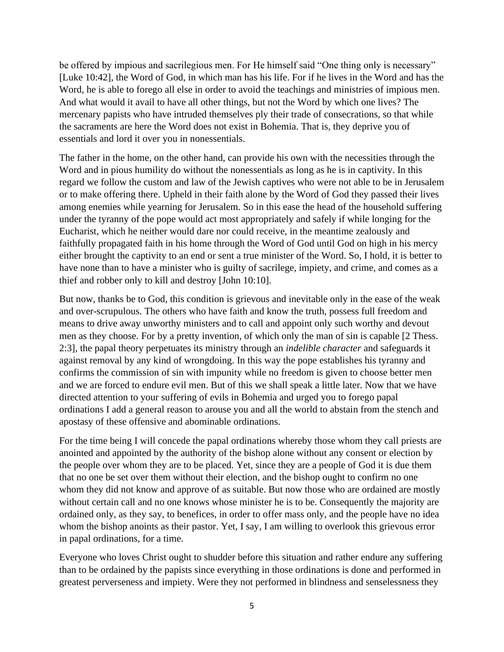be offered by impious and sacrilegious men. For He himself said "One thing only is necessary" [Luke 10:42], the Word of God, in which man has his life. For if he lives in the Word and has the Word, he is able to forego all else in order to avoid the teachings and ministries of impious men. And what would it avail to have all other things, but not the Word by which one lives? The mercenary papists who have intruded themselves ply their trade of consecrations, so that while the sacraments are here the Word does not exist in Bohemia. That is, they deprive you of essentials and lord it over you in nonessentials.

The father in the home, on the other hand, can provide his own with the necessities through the Word and in pious humility do without the nonessentials as long as he is in captivity. In this regard we follow the custom and law of the Jewish captives who were not able to be in Jerusalem or to make offering there. Upheld in their faith alone by the Word of God they passed their lives among enemies while yearning for Jerusalem. So in this ease the head of the household suffering under the tyranny of the pope would act most appropriately and safely if while longing for the Eucharist, which he neither would dare nor could receive, in the meantime zealously and faithfully propagated faith in his home through the Word of God until God on high in his mercy either brought the captivity to an end or sent a true minister of the Word. So, I hold, it is better to have none than to have a minister who is guilty of sacrilege, impiety, and crime, and comes as a thief and robber only to kill and destroy [John 10:10].

But now, thanks be to God, this condition is grievous and inevitable only in the ease of the weak and over-scrupulous. The others who have faith and know the truth, possess full freedom and means to drive away unworthy ministers and to call and appoint only such worthy and devout men as they choose. For by a pretty invention, of which only the man of sin is capable [2 Thess. 2:3], the papal theory perpetuates its ministry through an *indelible character* and safeguards it against removal by any kind of wrongdoing. In this way the pope establishes his tyranny and confirms the commission of sin with impunity while no freedom is given to choose better men and we are forced to endure evil men. But of this we shall speak a little later. Now that we have directed attention to your suffering of evils in Bohemia and urged you to forego papal ordinations I add a general reason to arouse you and all the world to abstain from the stench and apostasy of these offensive and abominable ordinations.

For the time being I will concede the papal ordinations whereby those whom they call priests are anointed and appointed by the authority of the bishop alone without any consent or election by the people over whom they are to be placed. Yet, since they are a people of God it is due them that no one be set over them without their election, and the bishop ought to confirm no one whom they did not know and approve of as suitable. But now those who are ordained are mostly without certain call and no one knows whose minister he is to be. Consequently the majority are ordained only, as they say, to benefices, in order to offer mass only, and the people have no idea whom the bishop anoints as their pastor. Yet, I say, I am willing to overlook this grievous error in papal ordinations, for a time.

Everyone who loves Christ ought to shudder before this situation and rather endure any suffering than to be ordained by the papists since everything in those ordinations is done and performed in greatest perverseness and impiety. Were they not performed in blindness and senselessness they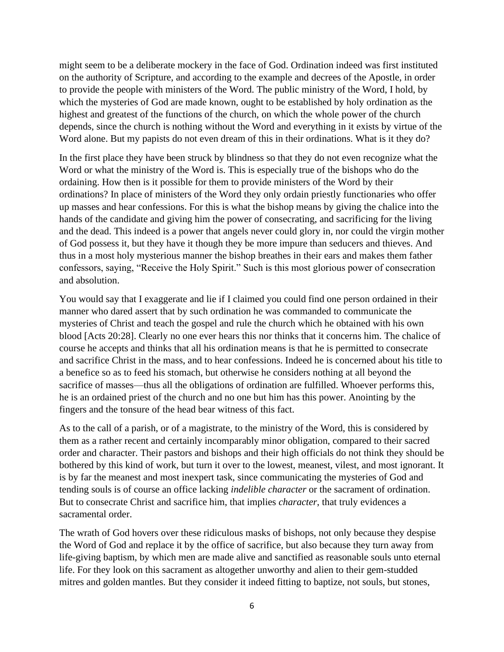might seem to be a deliberate mockery in the face of God. Ordination indeed was first instituted on the authority of Scripture, and according to the example and decrees of the Apostle, in order to provide the people with ministers of the Word. The public ministry of the Word, I hold, by which the mysteries of God are made known, ought to be established by holy ordination as the highest and greatest of the functions of the church, on which the whole power of the church depends, since the church is nothing without the Word and everything in it exists by virtue of the Word alone. But my papists do not even dream of this in their ordinations. What is it they do?

In the first place they have been struck by blindness so that they do not even recognize what the Word or what the ministry of the Word is. This is especially true of the bishops who do the ordaining. How then is it possible for them to provide ministers of the Word by their ordinations? In place of ministers of the Word they only ordain priestly functionaries who offer up masses and hear confessions. For this is what the bishop means by giving the chalice into the hands of the candidate and giving him the power of consecrating, and sacrificing for the living and the dead. This indeed is a power that angels never could glory in, nor could the virgin mother of God possess it, but they have it though they be more impure than seducers and thieves. And thus in a most holy mysterious manner the bishop breathes in their ears and makes them father confessors, saying, "Receive the Holy Spirit." Such is this most glorious power of consecration and absolution.

You would say that I exaggerate and lie if I claimed you could find one person ordained in their manner who dared assert that by such ordination he was commanded to communicate the mysteries of Christ and teach the gospel and rule the church which he obtained with his own blood [Acts 20:28]. Clearly no one ever hears this nor thinks that it concerns him. The chalice of course he accepts and thinks that all his ordination means is that he is permitted to consecrate and sacrifice Christ in the mass, and to hear confessions. Indeed he is concerned about his title to a benefice so as to feed his stomach, but otherwise he considers nothing at all beyond the sacrifice of masses—thus all the obligations of ordination are fulfilled. Whoever performs this, he is an ordained priest of the church and no one but him has this power. Anointing by the fingers and the tonsure of the head bear witness of this fact.

As to the call of a parish, or of a magistrate, to the ministry of the Word, this is considered by them as a rather recent and certainly incomparably minor obligation, compared to their sacred order and character. Their pastors and bishops and their high officials do not think they should be bothered by this kind of work, but turn it over to the lowest, meanest, vilest, and most ignorant. It is by far the meanest and most inexpert task, since communicating the mysteries of God and tending souls is of course an office lacking *indelible character* or the sacrament of ordination. But to consecrate Christ and sacrifice him, that implies *character*, that truly evidences a sacramental order.

The wrath of God hovers over these ridiculous masks of bishops, not only because they despise the Word of God and replace it by the office of sacrifice, but also because they turn away from life-giving baptism, by which men are made alive and sanctified as reasonable souls unto eternal life. For they look on this sacrament as altogether unworthy and alien to their gem-studded mitres and golden mantles. But they consider it indeed fitting to baptize, not souls, but stones,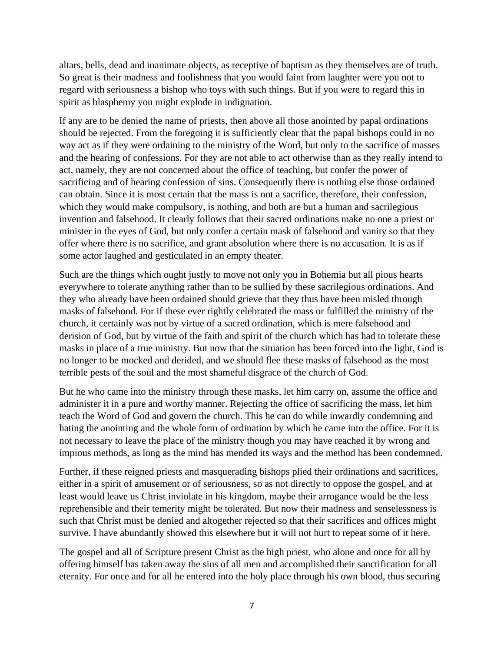altars, bells, dead and inanimate objects, as receptive of baptism as they themselves are of truth. So great is their madness and foolishness that you would faint from laughter were you not to regard with seriousness a bishop who toys with such things. But if you were to regard this in spirit as blasphemy you might explode in indignation.

If any are to be denied the name of priests, then above all those anointed by papal ordinations should be rejected. From the foregoing it is sufficiently clear that the papal bishops could in no way act as if they were ordaining to the ministry of the Word, but only to the sacrifice of masses and the hearing of confessions. For they are not able to act otherwise than as they really intend to act, namely, they are not concerned about the office of teaching, but confer the power of sacrificing and of hearing confession of sins. Consequently there is nothing else those ordained can obtain. Since it is most certain that the mass is not a sacrifice, therefore, their confession, which they would make compulsory, is nothing, and both are but a human and sacrilegious invention and falsehood. It clearly follows that their sacred ordinations make no one a priest or minister in the eyes of God, but only confer a certain mask of falsehood and vanity so that they offer where there is no sacrifice, and grant absolution where there is no accusation. It is as if some actor laughed and gesticulated in an empty theater.

Such are the things which ought justly to move not only you in Bohemia but all pious hearts everywhere to tolerate anything rather than to be sullied by these sacrilegious ordinations. And they who already have been ordained should grieve that they thus have been misled through masks of falsehood. For if these ever rightly celebrated the mass or fulfilled the ministry of the church, it certainly was not by virtue of a sacred ordination, which is mere falsehood and derision of God, but by virtue of the faith and spirit of the church which has had to tolerate these masks in place of a true ministry. But now that the situation has been forced into the light, God is no longer to be mocked and derided, and we should flee these masks of falsehood as the most terrible pests of the soul and the most shameful disgrace of the church of God.

But he who came into the ministry through these masks, let him carry on, assume the office and administer it in a pure and worthy manner. Rejecting the office of sacrificing the mass, let him teach the Word of God and govern the church. This he can do while inwardly condemning and hating the anointing and the whole form of ordination by which he came into the office. For it is not necessary to leave the place of the ministry though you may have reached it by wrong and impious methods, as long as the mind has mended its ways and the method has been condemned.

Further, if these reigned priests and masquerading bishops plied their ordinations and sacrifices, either in a spirit of amusement or of seriousness, so as not directly to oppose the gospel, and at least would leave us Christ inviolate in his kingdom, maybe their arrogance would be the less reprehensible and their temerity might be tolerated. But now their madness and senselessness is such that Christ must be denied and altogether rejected so that their sacrifices and offices might survive. I have abundantly showed this elsewhere but it will not hurt to repeat some of it here.

The gospel and all of Scripture present Christ as the high priest, who alone and once for all by offering himself has taken away the sins of all men and accomplished their sanctification for all eternity. For once and for all he entered into the holy place through his own blood, thus securing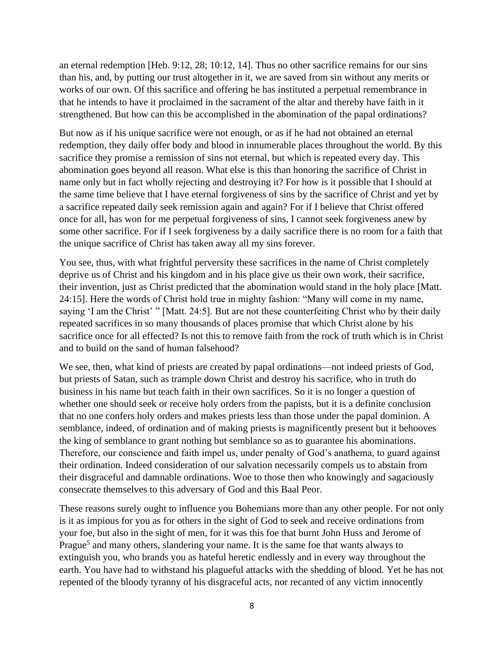an eternal redemption [Heb. 9:12, 28; 10:12, 14]. Thus no other sacrifice remains for our sins than his, and, by putting our trust altogether in it, we are saved from sin without any merits or works of our own. Of this sacrifice and offering he has instituted a perpetual remembrance in that he intends to have it proclaimed in the sacrament of the altar and thereby have faith in it strengthened. But how can this be accomplished in the abomination of the papal ordinations?

But now as if his unique sacrifice were not enough, or as if he had not obtained an eternal redemption, they daily offer body and blood in innumerable places throughout the world. By this sacrifice they promise a remission of sins not eternal, but which is repeated every day. This abomination goes beyond all reason. What else is this than honoring the sacrifice of Christ in name only but in fact wholly rejecting and destroying it? For how is it possible that I should at the same time believe that I have eternal forgiveness of sins by the sacrifice of Christ and yet by a sacrifice repeated daily seek remission again and again? For if I believe that Christ offered once for all, has won for me perpetual forgiveness of sins, I cannot seek forgiveness anew by some other sacrifice. For if I seek forgiveness by a daily sacrifice there is no room for a faith that the unique sacrifice of Christ has taken away all my sins forever.

You see, thus, with what frightful perversity these sacrifices in the name of Christ completely deprive us of Christ and his kingdom and in his place give us their own work, their sacrifice, their invention, just as Christ predicted that the abomination would stand in the holy place [Matt. 24:15]. Here the words of Christ hold true in mighty fashion: "Many will come in my name, saying 'I am the Christ' " [Matt. 24:5]. But are not these counterfeiting Christ who by their daily repeated sacrifices in so many thousands of places promise that which Christ alone by his sacrifice once for all effected? Is not this to remove faith from the rock of truth which is in Christ and to build on the sand of human falsehood?

We see, then, what kind of priests are created by papal ordinations—not indeed priests of God, but priests of Satan, such as trample down Christ and destroy his sacrifice, who in truth do business in his name but teach faith in their own sacrifices. So it is no longer a question of whether one should seek or receive holy orders from the papists, but it is a definite conclusion that no one confers holy orders and makes priests less than those under the papal dominion. A semblance, indeed, of ordination and of making priests is magnificently present but it behooves the king of semblance to grant nothing but semblance so as to guarantee his abominations. Therefore, our conscience and faith impel us, under penalty of God's anathema, to guard against their ordination. Indeed consideration of our salvation necessarily compels us to abstain from their disgraceful and damnable ordinations. Woe to those then who knowingly and sagaciously consecrate themselves to this adversary of God and this Baal Peor.

These reasons surely ought to influence you Bohemians more than any other people. For not only is it as impious for you as for others in the sight of God to seek and receive ordinations from your foe, but also in the sight of men, for it was this foe that burnt John Huss and Jerome of Prague<sup>5</sup> and many others, slandering your name. It is the same foe that wants always to extinguish you, who brands you as hateful heretic endlessly and in every way throughout the earth. You have had to withstand his plagueful attacks with the shedding of blood. Yet he has not repented of the bloody tyranny of his disgraceful acts, nor recanted of any victim innocently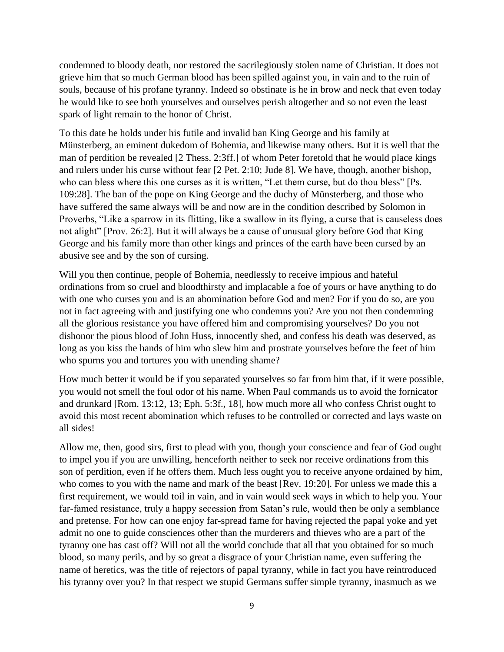condemned to bloody death, nor restored the sacrilegiously stolen name of Christian. It does not grieve him that so much German blood has been spilled against you, in vain and to the ruin of souls, because of his profane tyranny. Indeed so obstinate is he in brow and neck that even today he would like to see both yourselves and ourselves perish altogether and so not even the least spark of light remain to the honor of Christ.

To this date he holds under his futile and invalid ban King George and his family at Münsterberg, an eminent dukedom of Bohemia, and likewise many others. But it is well that the man of perdition be revealed [2 Thess. 2:3ff.] of whom Peter foretold that he would place kings and rulers under his curse without fear [2 Pet. 2:10; Jude 8]. We have, though, another bishop, who can bless where this one curses as it is written, "Let them curse, but do thou bless" [Ps. 109:28]. The ban of the pope on King George and the duchy of Münsterberg, and those who have suffered the same always will be and now are in the condition described by Solomon in Proverbs, "Like a sparrow in its flitting, like a swallow in its flying, a curse that is causeless does not alight" [Prov. 26:2]. But it will always be a cause of unusual glory before God that King George and his family more than other kings and princes of the earth have been cursed by an abusive see and by the son of cursing.

Will you then continue, people of Bohemia, needlessly to receive impious and hateful ordinations from so cruel and bloodthirsty and implacable a foe of yours or have anything to do with one who curses you and is an abomination before God and men? For if you do so, are you not in fact agreeing with and justifying one who condemns you? Are you not then condemning all the glorious resistance you have offered him and compromising yourselves? Do you not dishonor the pious blood of John Huss, innocently shed, and confess his death was deserved, as long as you kiss the hands of him who slew him and prostrate yourselves before the feet of him who spurns you and tortures you with unending shame?

How much better it would be if you separated yourselves so far from him that, if it were possible, you would not smell the foul odor of his name. When Paul commands us to avoid the fornicator and drunkard [Rom. 13:12, 13; Eph. 5:3f., 18], how much more all who confess Christ ought to avoid this most recent abomination which refuses to be controlled or corrected and lays waste on all sides!

Allow me, then, good sirs, first to plead with you, though your conscience and fear of God ought to impel you if you are unwilling, henceforth neither to seek nor receive ordinations from this son of perdition, even if he offers them. Much less ought you to receive anyone ordained by him, who comes to you with the name and mark of the beast [Rev. 19:20]. For unless we made this a first requirement, we would toil in vain, and in vain would seek ways in which to help you. Your far-famed resistance, truly a happy secession from Satan's rule, would then be only a semblance and pretense. For how can one enjoy far-spread fame for having rejected the papal yoke and yet admit no one to guide consciences other than the murderers and thieves who are a part of the tyranny one has cast off? Will not all the world conclude that all that you obtained for so much blood, so many perils, and by so great a disgrace of your Christian name, even suffering the name of heretics, was the title of rejectors of papal tyranny, while in fact you have reintroduced his tyranny over you? In that respect we stupid Germans suffer simple tyranny, inasmuch as we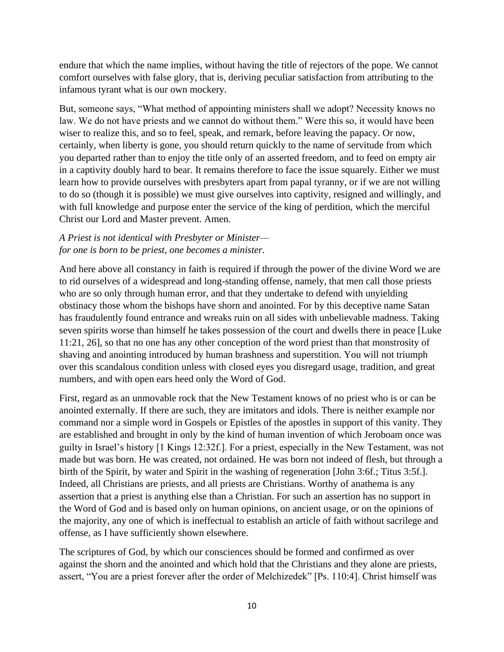endure that which the name implies, without having the title of rejectors of the pope. We cannot comfort ourselves with false glory, that is, deriving peculiar satisfaction from attributing to the infamous tyrant what is our own mockery.

But, someone says, "What method of appointing ministers shall we adopt? Necessity knows no law. We do not have priests and we cannot do without them." Were this so, it would have been wiser to realize this, and so to feel, speak, and remark, before leaving the papacy. Or now, certainly, when liberty is gone, you should return quickly to the name of servitude from which you departed rather than to enjoy the title only of an asserted freedom, and to feed on empty air in a captivity doubly hard to bear. It remains therefore to face the issue squarely. Either we must learn how to provide ourselves with presbyters apart from papal tyranny, or if we are not willing to do so (though it is possible) we must give ourselves into captivity, resigned and willingly, and with full knowledge and purpose enter the service of the king of perdition, which the merciful Christ our Lord and Master prevent. Amen.

### *A Priest is not identical with Presbyter or Minister for one is born to be priest, one becomes a minister.*

And here above all constancy in faith is required if through the power of the divine Word we are to rid ourselves of a widespread and long-standing offense, namely, that men call those priests who are so only through human error, and that they undertake to defend with unyielding obstinacy those whom the bishops have shorn and anointed. For by this deceptive name Satan has fraudulently found entrance and wreaks ruin on all sides with unbelievable madness. Taking seven spirits worse than himself he takes possession of the court and dwells there in peace [Luke 11:21, 26], so that no one has any other conception of the word priest than that monstrosity of shaving and anointing introduced by human brashness and superstition. You will not triumph over this scandalous condition unless with closed eyes you disregard usage, tradition, and great numbers, and with open ears heed only the Word of God.

First, regard as an unmovable rock that the New Testament knows of no priest who is or can be anointed externally. If there are such, they are imitators and idols. There is neither example nor command nor a simple word in Gospels or Epistles of the apostles in support of this vanity. They are established and brought in only by the kind of human invention of which Jeroboam once was guilty in Israel's history [1 Kings 12:32f.]. For a priest, especially in the New Testament, was not made but was born. He was created, not ordained. He was born not indeed of flesh, but through a birth of the Spirit, by water and Spirit in the washing of regeneration [John 3:6f.; Titus 3:5f.]. Indeed, all Christians are priests, and all priests are Christians. Worthy of anathema is any assertion that a priest is anything else than a Christian. For such an assertion has no support in the Word of God and is based only on human opinions, on ancient usage, or on the opinions of the majority, any one of which is ineffectual to establish an article of faith without sacrilege and offense, as I have sufficiently shown elsewhere.

The scriptures of God, by which our consciences should be formed and confirmed as over against the shorn and the anointed and which hold that the Christians and they alone are priests, assert, "You are a priest forever after the order of Melchizedek" [Ps. 110:4]. Christ himself was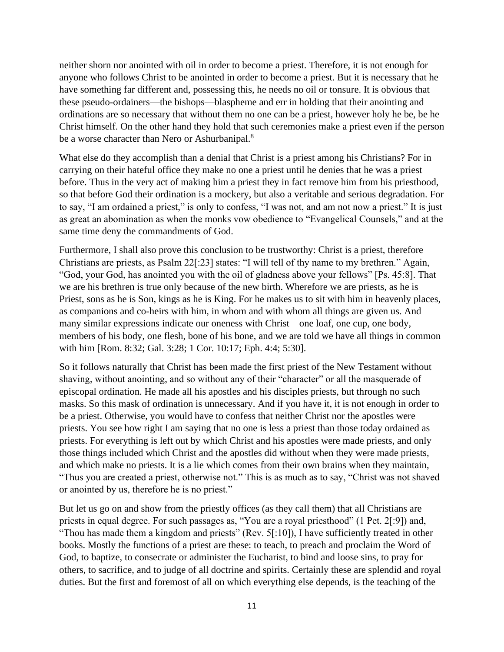neither shorn nor anointed with oil in order to become a priest. Therefore, it is not enough for anyone who follows Christ to be anointed in order to become a priest. But it is necessary that he have something far different and, possessing this, he needs no oil or tonsure. It is obvious that these pseudo-ordainers—the bishops—blaspheme and err in holding that their anointing and ordinations are so necessary that without them no one can be a priest, however holy he be, be he Christ himself. On the other hand they hold that such ceremonies make a priest even if the person be a worse character than Nero or Ashurbanipal.<sup>8</sup>

What else do they accomplish than a denial that Christ is a priest among his Christians? For in carrying on their hateful office they make no one a priest until he denies that he was a priest before. Thus in the very act of making him a priest they in fact remove him from his priesthood, so that before God their ordination is a mockery, but also a veritable and serious degradation. For to say, "I am ordained a priest," is only to confess, "I was not, and am not now a priest." It is just as great an abomination as when the monks vow obedience to "Evangelical Counsels," and at the same time deny the commandments of God.

Furthermore, I shall also prove this conclusion to be trustworthy: Christ is a priest, therefore Christians are priests, as Psalm 22[:23] states: "I will tell of thy name to my brethren." Again, "God, your God, has anointed you with the oil of gladness above your fellows" [Ps. 45:8]. That we are his brethren is true only because of the new birth. Wherefore we are priests, as he is Priest, sons as he is Son, kings as he is King. For he makes us to sit with him in heavenly places, as companions and co-heirs with him, in whom and with whom all things are given us. And many similar expressions indicate our oneness with Christ—one loaf, one cup, one body, members of his body, one flesh, bone of his bone, and we are told we have all things in common with him [Rom. 8:32; Gal. 3:28; 1 Cor. 10:17; Eph. 4:4; 5:30].

So it follows naturally that Christ has been made the first priest of the New Testament without shaving, without anointing, and so without any of their "character" or all the masquerade of episcopal ordination. He made all his apostles and his disciples priests, but through no such masks. So this mask of ordination is unnecessary. And if you have it, it is not enough in order to be a priest. Otherwise, you would have to confess that neither Christ nor the apostles were priests. You see how right I am saying that no one is less a priest than those today ordained as priests. For everything is left out by which Christ and his apostles were made priests, and only those things included which Christ and the apostles did without when they were made priests, and which make no priests. It is a lie which comes from their own brains when they maintain, "Thus you are created a priest, otherwise not." This is as much as to say, "Christ was not shaved or anointed by us, therefore he is no priest."

But let us go on and show from the priestly offices (as they call them) that all Christians are priests in equal degree. For such passages as, "You are a royal priesthood" (1 Pet. 2[:9]) and, "Thou has made them a kingdom and priests" (Rev. 5[:10]), I have sufficiently treated in other books. Mostly the functions of a priest are these: to teach, to preach and proclaim the Word of God, to baptize, to consecrate or administer the Eucharist, to bind and loose sins, to pray for others, to sacrifice, and to judge of all doctrine and spirits. Certainly these are splendid and royal duties. But the first and foremost of all on which everything else depends, is the teaching of the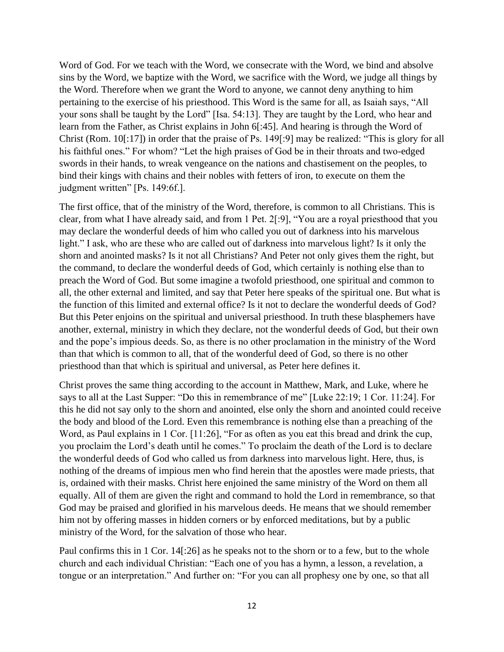Word of God. For we teach with the Word, we consecrate with the Word, we bind and absolve sins by the Word, we baptize with the Word, we sacrifice with the Word, we judge all things by the Word. Therefore when we grant the Word to anyone, we cannot deny anything to him pertaining to the exercise of his priesthood. This Word is the same for all, as Isaiah says, "All your sons shall be taught by the Lord" [Isa. 54:13]. They are taught by the Lord, who hear and learn from the Father, as Christ explains in John 6[:45]. And hearing is through the Word of Christ (Rom. 10[:17]) in order that the praise of Ps. 149[:9] may be realized: "This is glory for all his faithful ones." For whom? "Let the high praises of God be in their throats and two-edged swords in their hands, to wreak vengeance on the nations and chastisement on the peoples, to bind their kings with chains and their nobles with fetters of iron, to execute on them the judgment written" [Ps. 149:6f.].

The first office, that of the ministry of the Word, therefore, is common to all Christians. This is clear, from what I have already said, and from 1 Pet. 2[:9], "You are a royal priesthood that you may declare the wonderful deeds of him who called you out of darkness into his marvelous light." I ask, who are these who are called out of darkness into marvelous light? Is it only the shorn and anointed masks? Is it not all Christians? And Peter not only gives them the right, but the command, to declare the wonderful deeds of God, which certainly is nothing else than to preach the Word of God. But some imagine a twofold priesthood, one spiritual and common to all, the other external and limited, and say that Peter here speaks of the spiritual one. But what is the function of this limited and external office? Is it not to declare the wonderful deeds of God? But this Peter enjoins on the spiritual and universal priesthood. In truth these blasphemers have another, external, ministry in which they declare, not the wonderful deeds of God, but their own and the pope's impious deeds. So, as there is no other proclamation in the ministry of the Word than that which is common to all, that of the wonderful deed of God, so there is no other priesthood than that which is spiritual and universal, as Peter here defines it.

Christ proves the same thing according to the account in Matthew, Mark, and Luke, where he says to all at the Last Supper: "Do this in remembrance of me" [Luke 22:19; 1 Cor. 11:24]. For this he did not say only to the shorn and anointed, else only the shorn and anointed could receive the body and blood of the Lord. Even this remembrance is nothing else than a preaching of the Word, as Paul explains in 1 Cor. [11:26], "For as often as you eat this bread and drink the cup, you proclaim the Lord's death until he comes." To proclaim the death of the Lord is to declare the wonderful deeds of God who called us from darkness into marvelous light. Here, thus, is nothing of the dreams of impious men who find herein that the apostles were made priests, that is, ordained with their masks. Christ here enjoined the same ministry of the Word on them all equally. All of them are given the right and command to hold the Lord in remembrance, so that God may be praised and glorified in his marvelous deeds. He means that we should remember him not by offering masses in hidden corners or by enforced meditations, but by a public ministry of the Word, for the salvation of those who hear.

Paul confirms this in 1 Cor. 14[:26] as he speaks not to the shorn or to a few, but to the whole church and each individual Christian: "Each one of you has a hymn, a lesson, a revelation, a tongue or an interpretation." And further on: "For you can all prophesy one by one, so that all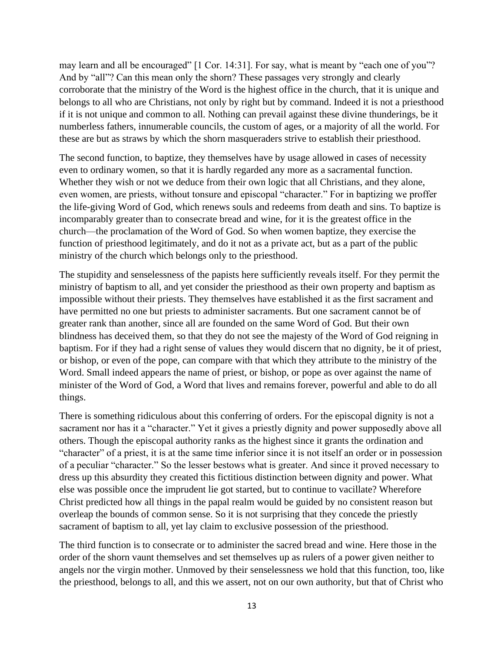may learn and all be encouraged" [1 Cor. 14:31]. For say, what is meant by "each one of you"? And by "all"? Can this mean only the shorn? These passages very strongly and clearly corroborate that the ministry of the Word is the highest office in the church, that it is unique and belongs to all who are Christians, not only by right but by command. Indeed it is not a priesthood if it is not unique and common to all. Nothing can prevail against these divine thunderings, be it numberless fathers, innumerable councils, the custom of ages, or a majority of all the world. For these are but as straws by which the shorn masqueraders strive to establish their priesthood.

The second function, to baptize, they themselves have by usage allowed in cases of necessity even to ordinary women, so that it is hardly regarded any more as a sacramental function. Whether they wish or not we deduce from their own logic that all Christians, and they alone, even women, are priests, without tonsure and episcopal "character." For in baptizing we proffer the life-giving Word of God, which renews souls and redeems from death and sins. To baptize is incomparably greater than to consecrate bread and wine, for it is the greatest office in the church—the proclamation of the Word of God. So when women baptize, they exercise the function of priesthood legitimately, and do it not as a private act, but as a part of the public ministry of the church which belongs only to the priesthood.

The stupidity and senselessness of the papists here sufficiently reveals itself. For they permit the ministry of baptism to all, and yet consider the priesthood as their own property and baptism as impossible without their priests. They themselves have established it as the first sacrament and have permitted no one but priests to administer sacraments. But one sacrament cannot be of greater rank than another, since all are founded on the same Word of God. But their own blindness has deceived them, so that they do not see the majesty of the Word of God reigning in baptism. For if they had a right sense of values they would discern that no dignity, be it of priest, or bishop, or even of the pope, can compare with that which they attribute to the ministry of the Word. Small indeed appears the name of priest, or bishop, or pope as over against the name of minister of the Word of God, a Word that lives and remains forever, powerful and able to do all things.

There is something ridiculous about this conferring of orders. For the episcopal dignity is not a sacrament nor has it a "character." Yet it gives a priestly dignity and power supposedly above all others. Though the episcopal authority ranks as the highest since it grants the ordination and "character" of a priest, it is at the same time inferior since it is not itself an order or in possession of a peculiar "character." So the lesser bestows what is greater. And since it proved necessary to dress up this absurdity they created this fictitious distinction between dignity and power. What else was possible once the imprudent lie got started, but to continue to vacillate? Wherefore Christ predicted how all things in the papal realm would be guided by no consistent reason but overleap the bounds of common sense. So it is not surprising that they concede the priestly sacrament of baptism to all, yet lay claim to exclusive possession of the priesthood.

The third function is to consecrate or to administer the sacred bread and wine. Here those in the order of the shorn vaunt themselves and set themselves up as rulers of a power given neither to angels nor the virgin mother. Unmoved by their senselessness we hold that this function, too, like the priesthood, belongs to all, and this we assert, not on our own authority, but that of Christ who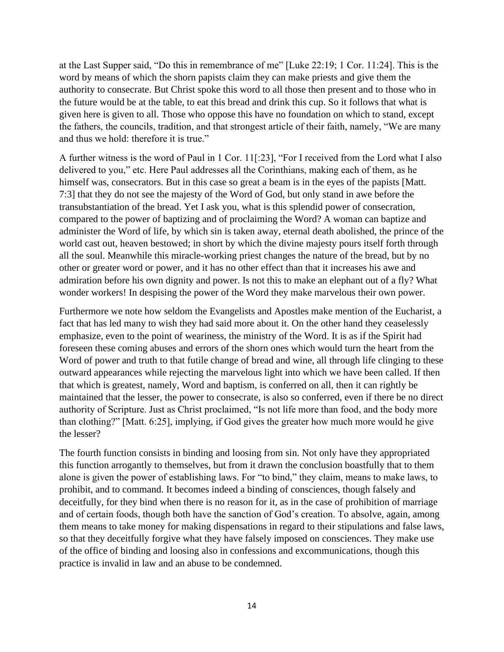at the Last Supper said, "Do this in remembrance of me" [Luke 22:19; 1 Cor. 11:24]. This is the word by means of which the shorn papists claim they can make priests and give them the authority to consecrate. But Christ spoke this word to all those then present and to those who in the future would be at the table, to eat this bread and drink this cup. So it follows that what is given here is given to all. Those who oppose this have no foundation on which to stand, except the fathers, the councils, tradition, and that strongest article of their faith, namely, "We are many and thus we hold: therefore it is true."

A further witness is the word of Paul in 1 Cor. 11[:23], "For I received from the Lord what I also delivered to you," etc. Here Paul addresses all the Corinthians, making each of them, as he himself was, consecrators. But in this case so great a beam is in the eyes of the papists [Matt. 7:3] that they do not see the majesty of the Word of God, but only stand in awe before the transubstantiation of the bread. Yet I ask you, what is this splendid power of consecration, compared to the power of baptizing and of proclaiming the Word? A woman can baptize and administer the Word of life, by which sin is taken away, eternal death abolished, the prince of the world cast out, heaven bestowed; in short by which the divine majesty pours itself forth through all the soul. Meanwhile this miracle-working priest changes the nature of the bread, but by no other or greater word or power, and it has no other effect than that it increases his awe and admiration before his own dignity and power. Is not this to make an elephant out of a fly? What wonder workers! In despising the power of the Word they make marvelous their own power.

Furthermore we note how seldom the Evangelists and Apostles make mention of the Eucharist, a fact that has led many to wish they had said more about it. On the other hand they ceaselessly emphasize, even to the point of weariness, the ministry of the Word. It is as if the Spirit had foreseen these coming abuses and errors of the shorn ones which would turn the heart from the Word of power and truth to that futile change of bread and wine, all through life clinging to these outward appearances while rejecting the marvelous light into which we have been called. If then that which is greatest, namely, Word and baptism, is conferred on all, then it can rightly be maintained that the lesser, the power to consecrate, is also so conferred, even if there be no direct authority of Scripture. Just as Christ proclaimed, "Is not life more than food, and the body more than clothing?" [Matt. 6:25], implying, if God gives the greater how much more would he give the lesser?

The fourth function consists in binding and loosing from sin. Not only have they appropriated this function arrogantly to themselves, but from it drawn the conclusion boastfully that to them alone is given the power of establishing laws. For "to bind," they claim, means to make laws, to prohibit, and to command. It becomes indeed a binding of consciences, though falsely and deceitfully, for they bind when there is no reason for it, as in the case of prohibition of marriage and of certain foods, though both have the sanction of God's creation. To absolve, again, among them means to take money for making dispensations in regard to their stipulations and false laws, so that they deceitfully forgive what they have falsely imposed on consciences. They make use of the office of binding and loosing also in confessions and excommunications, though this practice is invalid in law and an abuse to be condemned.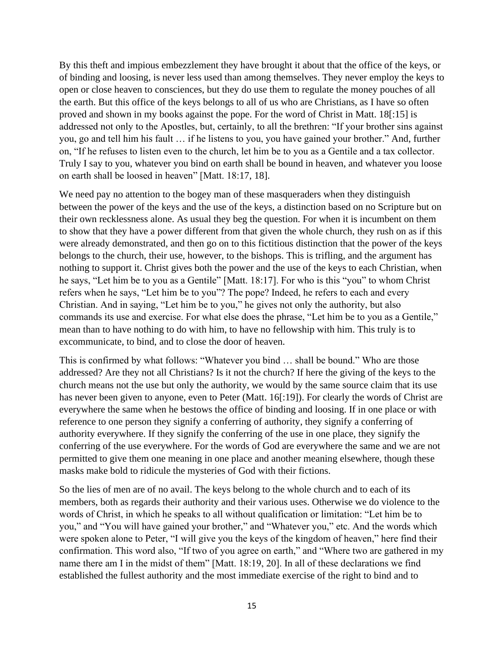By this theft and impious embezzlement they have brought it about that the office of the keys, or of binding and loosing, is never less used than among themselves. They never employ the keys to open or close heaven to consciences, but they do use them to regulate the money pouches of all the earth. But this office of the keys belongs to all of us who are Christians, as I have so often proved and shown in my books against the pope. For the word of Christ in Matt. 18[:15] is addressed not only to the Apostles, but, certainly, to all the brethren: "If your brother sins against you, go and tell him his fault … if he listens to you, you have gained your brother." And, further on, "If he refuses to listen even to the church, let him be to you as a Gentile and a tax collector. Truly I say to you, whatever you bind on earth shall be bound in heaven, and whatever you loose on earth shall be loosed in heaven" [Matt. 18:17, 18].

We need pay no attention to the bogey man of these masqueraders when they distinguish between the power of the keys and the use of the keys, a distinction based on no Scripture but on their own recklessness alone. As usual they beg the question. For when it is incumbent on them to show that they have a power different from that given the whole church, they rush on as if this were already demonstrated, and then go on to this fictitious distinction that the power of the keys belongs to the church, their use, however, to the bishops. This is trifling, and the argument has nothing to support it. Christ gives both the power and the use of the keys to each Christian, when he says, "Let him be to you as a Gentile" [Matt. 18:17]. For who is this "you" to whom Christ refers when he says, "Let him be to you"? The pope? Indeed, he refers to each and every Christian. And in saying, "Let him be to you," he gives not only the authority, but also commands its use and exercise. For what else does the phrase, "Let him be to you as a Gentile," mean than to have nothing to do with him, to have no fellowship with him. This truly is to excommunicate, to bind, and to close the door of heaven.

This is confirmed by what follows: "Whatever you bind … shall be bound." Who are those addressed? Are they not all Christians? Is it not the church? If here the giving of the keys to the church means not the use but only the authority, we would by the same source claim that its use has never been given to anyone, even to Peter (Matt. 16[:19]). For clearly the words of Christ are everywhere the same when he bestows the office of binding and loosing. If in one place or with reference to one person they signify a conferring of authority, they signify a conferring of authority everywhere. If they signify the conferring of the use in one place, they signify the conferring of the use everywhere. For the words of God are everywhere the same and we are not permitted to give them one meaning in one place and another meaning elsewhere, though these masks make bold to ridicule the mysteries of God with their fictions.

So the lies of men are of no avail. The keys belong to the whole church and to each of its members, both as regards their authority and their various uses. Otherwise we do violence to the words of Christ, in which he speaks to all without qualification or limitation: "Let him be to you," and "You will have gained your brother," and "Whatever you," etc. And the words which were spoken alone to Peter, "I will give you the keys of the kingdom of heaven," here find their confirmation. This word also, "If two of you agree on earth," and "Where two are gathered in my name there am I in the midst of them" [Matt. 18:19, 20]. In all of these declarations we find established the fullest authority and the most immediate exercise of the right to bind and to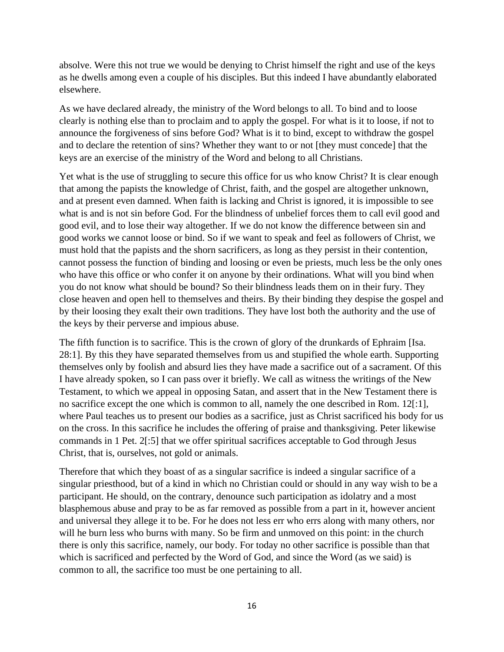absolve. Were this not true we would be denying to Christ himself the right and use of the keys as he dwells among even a couple of his disciples. But this indeed I have abundantly elaborated elsewhere.

As we have declared already, the ministry of the Word belongs to all. To bind and to loose clearly is nothing else than to proclaim and to apply the gospel. For what is it to loose, if not to announce the forgiveness of sins before God? What is it to bind, except to withdraw the gospel and to declare the retention of sins? Whether they want to or not [they must concede] that the keys are an exercise of the ministry of the Word and belong to all Christians.

Yet what is the use of struggling to secure this office for us who know Christ? It is clear enough that among the papists the knowledge of Christ, faith, and the gospel are altogether unknown, and at present even damned. When faith is lacking and Christ is ignored, it is impossible to see what is and is not sin before God. For the blindness of unbelief forces them to call evil good and good evil, and to lose their way altogether. If we do not know the difference between sin and good works we cannot loose or bind. So if we want to speak and feel as followers of Christ, we must hold that the papists and the shorn sacrificers, as long as they persist in their contention, cannot possess the function of binding and loosing or even be priests, much less be the only ones who have this office or who confer it on anyone by their ordinations. What will you bind when you do not know what should be bound? So their blindness leads them on in their fury. They close heaven and open hell to themselves and theirs. By their binding they despise the gospel and by their loosing they exalt their own traditions. They have lost both the authority and the use of the keys by their perverse and impious abuse.

The fifth function is to sacrifice. This is the crown of glory of the drunkards of Ephraim [Isa. 28:1]. By this they have separated themselves from us and stupified the whole earth. Supporting themselves only by foolish and absurd lies they have made a sacrifice out of a sacrament. Of this I have already spoken, so I can pass over it briefly. We call as witness the writings of the New Testament, to which we appeal in opposing Satan, and assert that in the New Testament there is no sacrifice except the one which is common to all, namely the one described in Rom. 12[:1], where Paul teaches us to present our bodies as a sacrifice, just as Christ sacrificed his body for us on the cross. In this sacrifice he includes the offering of praise and thanksgiving. Peter likewise commands in 1 Pet. 2[:5] that we offer spiritual sacrifices acceptable to God through Jesus Christ, that is, ourselves, not gold or animals.

Therefore that which they boast of as a singular sacrifice is indeed a singular sacrifice of a singular priesthood, but of a kind in which no Christian could or should in any way wish to be a participant. He should, on the contrary, denounce such participation as idolatry and a most blasphemous abuse and pray to be as far removed as possible from a part in it, however ancient and universal they allege it to be. For he does not less err who errs along with many others, nor will he burn less who burns with many. So be firm and unmoved on this point: in the church there is only this sacrifice, namely, our body. For today no other sacrifice is possible than that which is sacrificed and perfected by the Word of God, and since the Word (as we said) is common to all, the sacrifice too must be one pertaining to all.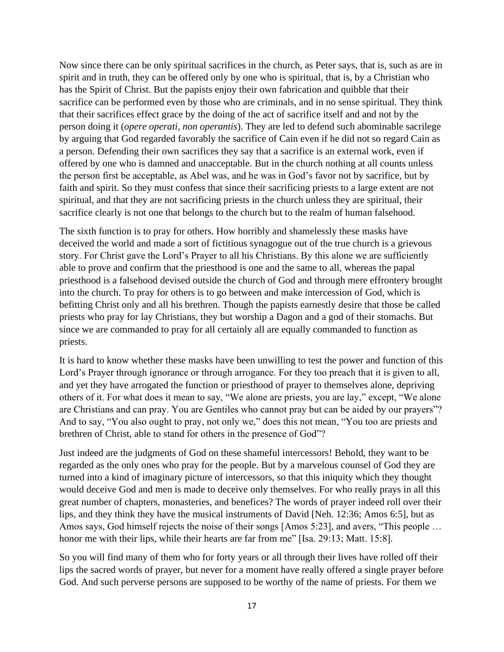Now since there can be only spiritual sacrifices in the church, as Peter says, that is, such as are in spirit and in truth, they can be offered only by one who is spiritual, that is, by a Christian who has the Spirit of Christ. But the papists enjoy their own fabrication and quibble that their sacrifice can be performed even by those who are criminals, and in no sense spiritual. They think that their sacrifices effect grace by the doing of the act of sacrifice itself and and not by the person doing it (*opere operati, non operantis*). They are led to defend such abominable sacrilege by arguing that God regarded favorably the sacrifice of Cain even if he did not so regard Cain as a person. Defending their own sacrifices they say that a sacrifice is an external work, even if offered by one who is damned and unacceptable. But in the church nothing at all counts unless the person first be acceptable, as Abel was, and he was in God's favor not by sacrifice, but by faith and spirit. So they must confess that since their sacrificing priests to a large extent are not spiritual, and that they are not sacrificing priests in the church unless they are spiritual, their sacrifice clearly is not one that belongs to the church but to the realm of human falsehood.

The sixth function is to pray for others. How horribly and shamelessly these masks have deceived the world and made a sort of fictitious synagogue out of the true church is a grievous story. For Christ gave the Lord's Prayer to all his Christians. By this alone we are sufficiently able to prove and confirm that the priesthood is one and the same to all, whereas the papal priesthood is a falsehood devised outside the church of God and through mere effrontery brought into the church. To pray for others is to go between and make intercession of God, which is befitting Christ only and all his brethren. Though the papists earnestly desire that those be called priests who pray for lay Christians, they but worship a Dagon and a god of their stomachs. But since we are commanded to pray for all certainly all are equally commanded to function as priests.

It is hard to know whether these masks have been unwilling to test the power and function of this Lord's Prayer through ignorance or through arrogance. For they too preach that it is given to all, and yet they have arrogated the function or priesthood of prayer to themselves alone, depriving others of it. For what does it mean to say, "We alone are priests, you are lay," except, "We alone are Christians and can pray. You are Gentiles who cannot pray but can be aided by our prayers"? And to say, "You also ought to pray, not only we," does this not mean, "You too are priests and brethren of Christ, able to stand for others in the presence of God"?

Just indeed are the judgments of God on these shameful intercessors! Behold, they want to be regarded as the only ones who pray for the people. But by a marvelous counsel of God they are turned into a kind of imaginary picture of intercessors, so that this iniquity which they thought would deceive God and men is made to deceive only themselves. For who really prays in all this great number of chapters, monasteries, and benefices? The words of prayer indeed roll over their lips, and they think they have the musical instruments of David [Neh. 12:36; Amos 6:5], but as Amos says, God himself rejects the noise of their songs [Amos 5:23], and avers, "This people … honor me with their lips, while their hearts are far from me" [Isa. 29:13; Matt. 15:8].

So you will find many of them who for forty years or all through their lives have rolled off their lips the sacred words of prayer, but never for a moment have really offered a single prayer before God. And such perverse persons are supposed to be worthy of the name of priests. For them we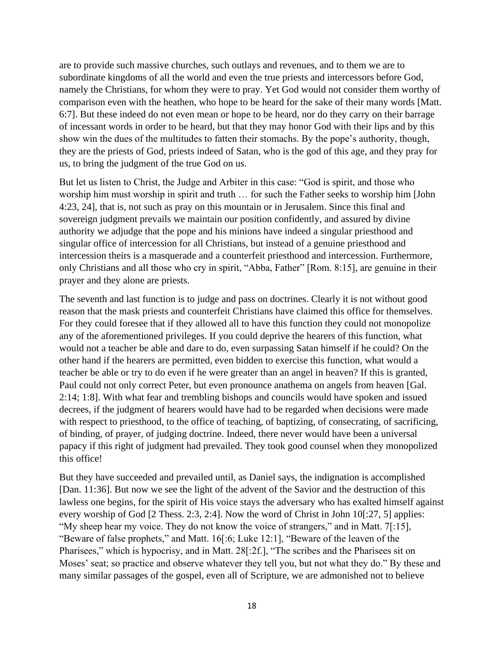are to provide such massive churches, such outlays and revenues, and to them we are to subordinate kingdoms of all the world and even the true priests and intercessors before God, namely the Christians, for whom they were to pray. Yet God would not consider them worthy of comparison even with the heathen, who hope to be heard for the sake of their many words [Matt. 6:7]. But these indeed do not even mean or hope to be heard, nor do they carry on their barrage of incessant words in order to be heard, but that they may honor God with their lips and by this show win the dues of the multitudes to fatten their stomachs. By the pope's authority, though, they are the priests of God, priests indeed of Satan, who is the god of this age, and they pray for us, to bring the judgment of the true God on us.

But let us listen to Christ, the Judge and Arbiter in this case: "God is spirit, and those who worship him must worship in spirit and truth … for such the Father seeks to worship him [John 4:23, 24], that is, not such as pray on this mountain or in Jerusalem. Since this final and sovereign judgment prevails we maintain our position confidently, and assured by divine authority we adjudge that the pope and his minions have indeed a singular priesthood and singular office of intercession for all Christians, but instead of a genuine priesthood and intercession theirs is a masquerade and a counterfeit priesthood and intercession. Furthermore, only Christians and all those who cry in spirit, "Abba, Father" [Rom. 8:15], are genuine in their prayer and they alone are priests.

The seventh and last function is to judge and pass on doctrines. Clearly it is not without good reason that the mask priests and counterfeit Christians have claimed this office for themselves. For they could foresee that if they allowed all to have this function they could not monopolize any of the aforementioned privileges. If you could deprive the hearers of this function, what would not a teacher be able and dare to do, even surpassing Satan himself if he could? On the other hand if the hearers are permitted, even bidden to exercise this function, what would a teacher be able or try to do even if he were greater than an angel in heaven? If this is granted, Paul could not only correct Peter, but even pronounce anathema on angels from heaven [Gal. 2:14; 1:8]. With what fear and trembling bishops and councils would have spoken and issued decrees, if the judgment of hearers would have had to be regarded when decisions were made with respect to priesthood, to the office of teaching, of baptizing, of consecrating, of sacrificing, of binding, of prayer, of judging doctrine. Indeed, there never would have been a universal papacy if this right of judgment had prevailed. They took good counsel when they monopolized this office!

But they have succeeded and prevailed until, as Daniel says, the indignation is accomplished [Dan. 11:36]. But now we see the light of the advent of the Savior and the destruction of this lawless one begins, for the spirit of His voice stays the adversary who has exalted himself against every worship of God [2 Thess. 2:3, 2:4]. Now the word of Christ in John 10[:27, 5] applies: "My sheep hear my voice. They do not know the voice of strangers," and in Matt. 7[:15], "Beware of false prophets," and Matt. 16[:6; Luke 12:1], "Beware of the leaven of the Pharisees," which is hypocrisy, and in Matt. 28[:2f.], "The scribes and the Pharisees sit on Moses' seat; so practice and observe whatever they tell you, but not what they do." By these and many similar passages of the gospel, even all of Scripture, we are admonished not to believe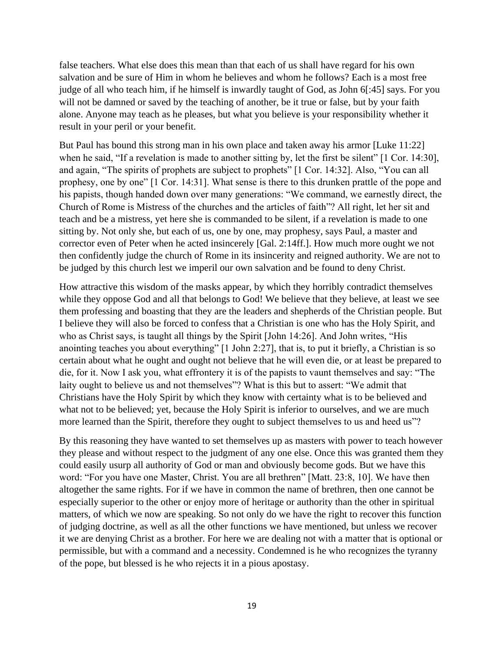false teachers. What else does this mean than that each of us shall have regard for his own salvation and be sure of Him in whom he believes and whom he follows? Each is a most free judge of all who teach him, if he himself is inwardly taught of God, as John 6[:45] says. For you will not be damned or saved by the teaching of another, be it true or false, but by your faith alone. Anyone may teach as he pleases, but what you believe is your responsibility whether it result in your peril or your benefit.

But Paul has bound this strong man in his own place and taken away his armor [Luke 11:22] when he said, "If a revelation is made to another sitting by, let the first be silent" [1 Cor. 14:30], and again, "The spirits of prophets are subject to prophets" [1 Cor. 14:32]. Also, "You can all prophesy, one by one" [1 Cor. 14:31]. What sense is there to this drunken prattle of the pope and his papists, though handed down over many generations: "We command, we earnestly direct, the Church of Rome is Mistress of the churches and the articles of faith"? All right, let her sit and teach and be a mistress, yet here she is commanded to be silent, if a revelation is made to one sitting by. Not only she, but each of us, one by one, may prophesy, says Paul, a master and corrector even of Peter when he acted insincerely [Gal. 2:14ff.]. How much more ought we not then confidently judge the church of Rome in its insincerity and reigned authority. We are not to be judged by this church lest we imperil our own salvation and be found to deny Christ.

How attractive this wisdom of the masks appear, by which they horribly contradict themselves while they oppose God and all that belongs to God! We believe that they believe, at least we see them professing and boasting that they are the leaders and shepherds of the Christian people. But I believe they will also be forced to confess that a Christian is one who has the Holy Spirit, and who as Christ says, is taught all things by the Spirit [John 14:26]. And John writes, "His anointing teaches you about everything" [1 John 2:27], that is, to put it briefly, a Christian is so certain about what he ought and ought not believe that he will even die, or at least be prepared to die, for it. Now I ask you, what effrontery it is of the papists to vaunt themselves and say: "The laity ought to believe us and not themselves"? What is this but to assert: "We admit that Christians have the Holy Spirit by which they know with certainty what is to be believed and what not to be believed; yet, because the Holy Spirit is inferior to ourselves, and we are much more learned than the Spirit, therefore they ought to subject themselves to us and heed us"?

By this reasoning they have wanted to set themselves up as masters with power to teach however they please and without respect to the judgment of any one else. Once this was granted them they could easily usurp all authority of God or man and obviously become gods. But we have this word: "For you have one Master, Christ. You are all brethren" [Matt. 23:8, 10]. We have then altogether the same rights. For if we have in common the name of brethren, then one cannot be especially superior to the other or enjoy more of heritage or authority than the other in spiritual matters, of which we now are speaking. So not only do we have the right to recover this function of judging doctrine, as well as all the other functions we have mentioned, but unless we recover it we are denying Christ as a brother. For here we are dealing not with a matter that is optional or permissible, but with a command and a necessity. Condemned is he who recognizes the tyranny of the pope, but blessed is he who rejects it in a pious apostasy.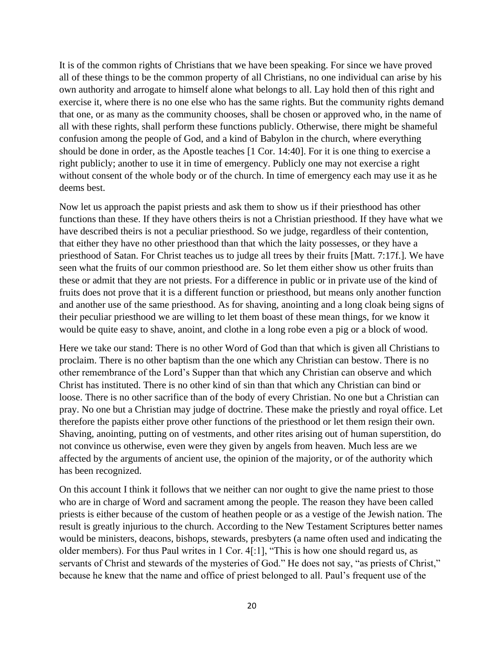It is of the common rights of Christians that we have been speaking. For since we have proved all of these things to be the common property of all Christians, no one individual can arise by his own authority and arrogate to himself alone what belongs to all. Lay hold then of this right and exercise it, where there is no one else who has the same rights. But the community rights demand that one, or as many as the community chooses, shall be chosen or approved who, in the name of all with these rights, shall perform these functions publicly. Otherwise, there might be shameful confusion among the people of God, and a kind of Babylon in the church, where everything should be done in order, as the Apostle teaches [1 Cor. 14:40]. For it is one thing to exercise a right publicly; another to use it in time of emergency. Publicly one may not exercise a right without consent of the whole body or of the church. In time of emergency each may use it as he deems best.

Now let us approach the papist priests and ask them to show us if their priesthood has other functions than these. If they have others theirs is not a Christian priesthood. If they have what we have described theirs is not a peculiar priesthood. So we judge, regardless of their contention, that either they have no other priesthood than that which the laity possesses, or they have a priesthood of Satan. For Christ teaches us to judge all trees by their fruits [Matt. 7:17f.]. We have seen what the fruits of our common priesthood are. So let them either show us other fruits than these or admit that they are not priests. For a difference in public or in private use of the kind of fruits does not prove that it is a different function or priesthood, but means only another function and another use of the same priesthood. As for shaving, anointing and a long cloak being signs of their peculiar priesthood we are willing to let them boast of these mean things, for we know it would be quite easy to shave, anoint, and clothe in a long robe even a pig or a block of wood.

Here we take our stand: There is no other Word of God than that which is given all Christians to proclaim. There is no other baptism than the one which any Christian can bestow. There is no other remembrance of the Lord's Supper than that which any Christian can observe and which Christ has instituted. There is no other kind of sin than that which any Christian can bind or loose. There is no other sacrifice than of the body of every Christian. No one but a Christian can pray. No one but a Christian may judge of doctrine. These make the priestly and royal office. Let therefore the papists either prove other functions of the priesthood or let them resign their own. Shaving, anointing, putting on of vestments, and other rites arising out of human superstition, do not convince us otherwise, even were they given by angels from heaven. Much less are we affected by the arguments of ancient use, the opinion of the majority, or of the authority which has been recognized.

On this account I think it follows that we neither can nor ought to give the name priest to those who are in charge of Word and sacrament among the people. The reason they have been called priests is either because of the custom of heathen people or as a vestige of the Jewish nation. The result is greatly injurious to the church. According to the New Testament Scriptures better names would be ministers, deacons, bishops, stewards, presbyters (a name often used and indicating the older members). For thus Paul writes in 1 Cor. 4[:1], "This is how one should regard us, as servants of Christ and stewards of the mysteries of God." He does not say, "as priests of Christ," because he knew that the name and office of priest belonged to all. Paul's frequent use of the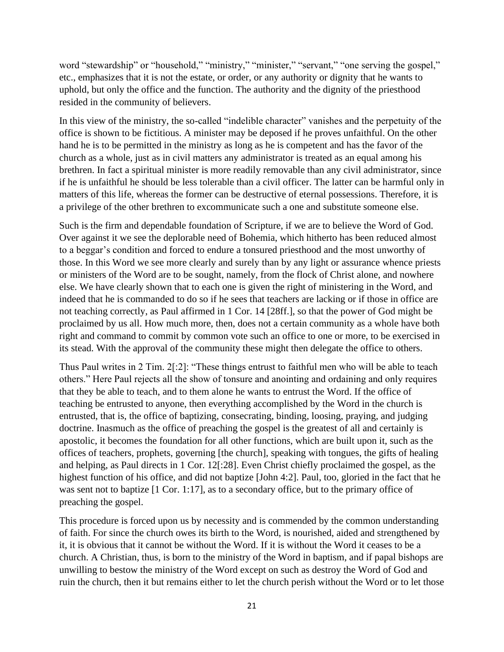word "stewardship" or "household," "ministry," "minister," "servant," "one serving the gospel," etc., emphasizes that it is not the estate, or order, or any authority or dignity that he wants to uphold, but only the office and the function. The authority and the dignity of the priesthood resided in the community of believers.

In this view of the ministry, the so-called "indelible character" vanishes and the perpetuity of the office is shown to be fictitious. A minister may be deposed if he proves unfaithful. On the other hand he is to be permitted in the ministry as long as he is competent and has the favor of the church as a whole, just as in civil matters any administrator is treated as an equal among his brethren. In fact a spiritual minister is more readily removable than any civil administrator, since if he is unfaithful he should be less tolerable than a civil officer. The latter can be harmful only in matters of this life, whereas the former can be destructive of eternal possessions. Therefore, it is a privilege of the other brethren to excommunicate such a one and substitute someone else.

Such is the firm and dependable foundation of Scripture, if we are to believe the Word of God. Over against it we see the deplorable need of Bohemia, which hitherto has been reduced almost to a beggar's condition and forced to endure a tonsured priesthood and the most unworthy of those. In this Word we see more clearly and surely than by any light or assurance whence priests or ministers of the Word are to be sought, namely, from the flock of Christ alone, and nowhere else. We have clearly shown that to each one is given the right of ministering in the Word, and indeed that he is commanded to do so if he sees that teachers are lacking or if those in office are not teaching correctly, as Paul affirmed in 1 Cor. 14 [28ff.], so that the power of God might be proclaimed by us all. How much more, then, does not a certain community as a whole have both right and command to commit by common vote such an office to one or more, to be exercised in its stead. With the approval of the community these might then delegate the office to others.

Thus Paul writes in 2 Tim. 2[:2]: "These things entrust to faithful men who will be able to teach others." Here Paul rejects all the show of tonsure and anointing and ordaining and only requires that they be able to teach, and to them alone he wants to entrust the Word. If the office of teaching be entrusted to anyone, then everything accomplished by the Word in the church is entrusted, that is, the office of baptizing, consecrating, binding, loosing, praying, and judging doctrine. Inasmuch as the office of preaching the gospel is the greatest of all and certainly is apostolic, it becomes the foundation for all other functions, which are built upon it, such as the offices of teachers, prophets, governing [the church], speaking with tongues, the gifts of healing and helping, as Paul directs in 1 Cor. 12[:28]. Even Christ chiefly proclaimed the gospel, as the highest function of his office, and did not baptize [John 4:2]. Paul, too, gloried in the fact that he was sent not to baptize [1 Cor. 1:17], as to a secondary office, but to the primary office of preaching the gospel.

This procedure is forced upon us by necessity and is commended by the common understanding of faith. For since the church owes its birth to the Word, is nourished, aided and strengthened by it, it is obvious that it cannot be without the Word. If it is without the Word it ceases to be a church. A Christian, thus, is born to the ministry of the Word in baptism, and if papal bishops are unwilling to bestow the ministry of the Word except on such as destroy the Word of God and ruin the church, then it but remains either to let the church perish without the Word or to let those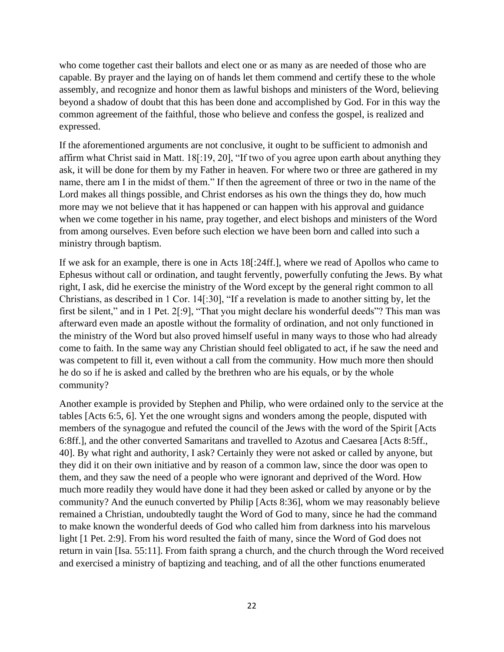who come together cast their ballots and elect one or as many as are needed of those who are capable. By prayer and the laying on of hands let them commend and certify these to the whole assembly, and recognize and honor them as lawful bishops and ministers of the Word, believing beyond a shadow of doubt that this has been done and accomplished by God. For in this way the common agreement of the faithful, those who believe and confess the gospel, is realized and expressed.

If the aforementioned arguments are not conclusive, it ought to be sufficient to admonish and affirm what Christ said in Matt. 18[:19, 20], "If two of you agree upon earth about anything they ask, it will be done for them by my Father in heaven. For where two or three are gathered in my name, there am I in the midst of them." If then the agreement of three or two in the name of the Lord makes all things possible, and Christ endorses as his own the things they do, how much more may we not believe that it has happened or can happen with his approval and guidance when we come together in his name, pray together, and elect bishops and ministers of the Word from among ourselves. Even before such election we have been born and called into such a ministry through baptism.

If we ask for an example, there is one in Acts 18[:24ff.], where we read of Apollos who came to Ephesus without call or ordination, and taught fervently, powerfully confuting the Jews. By what right, I ask, did he exercise the ministry of the Word except by the general right common to all Christians, as described in 1 Cor. 14[:30], "If a revelation is made to another sitting by, let the first be silent," and in 1 Pet. 2[:9], "That you might declare his wonderful deeds"? This man was afterward even made an apostle without the formality of ordination, and not only functioned in the ministry of the Word but also proved himself useful in many ways to those who had already come to faith. In the same way any Christian should feel obligated to act, if he saw the need and was competent to fill it, even without a call from the community. How much more then should he do so if he is asked and called by the brethren who are his equals, or by the whole community?

Another example is provided by Stephen and Philip, who were ordained only to the service at the tables [Acts 6:5, 6]. Yet the one wrought signs and wonders among the people, disputed with members of the synagogue and refuted the council of the Jews with the word of the Spirit [Acts 6:8ff.], and the other converted Samaritans and travelled to Azotus and Caesarea [Acts 8:5ff., 40]. By what right and authority, I ask? Certainly they were not asked or called by anyone, but they did it on their own initiative and by reason of a common law, since the door was open to them, and they saw the need of a people who were ignorant and deprived of the Word. How much more readily they would have done it had they been asked or called by anyone or by the community? And the eunuch converted by Philip [Acts 8:36], whom we may reasonably believe remained a Christian, undoubtedly taught the Word of God to many, since he had the command to make known the wonderful deeds of God who called him from darkness into his marvelous light [1 Pet. 2:9]. From his word resulted the faith of many, since the Word of God does not return in vain [Isa. 55:11]. From faith sprang a church, and the church through the Word received and exercised a ministry of baptizing and teaching, and of all the other functions enumerated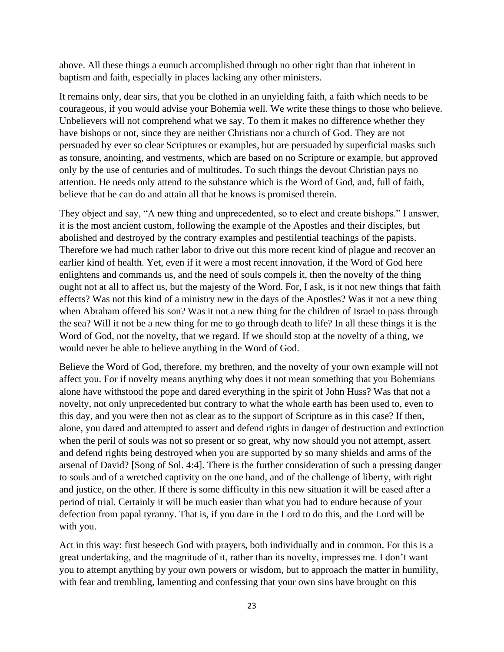above. All these things a eunuch accomplished through no other right than that inherent in baptism and faith, especially in places lacking any other ministers.

It remains only, dear sirs, that you be clothed in an unyielding faith, a faith which needs to be courageous, if you would advise your Bohemia well. We write these things to those who believe. Unbelievers will not comprehend what we say. To them it makes no difference whether they have bishops or not, since they are neither Christians nor a church of God. They are not persuaded by ever so clear Scriptures or examples, but are persuaded by superficial masks such as tonsure, anointing, and vestments, which are based on no Scripture or example, but approved only by the use of centuries and of multitudes. To such things the devout Christian pays no attention. He needs only attend to the substance which is the Word of God, and, full of faith, believe that he can do and attain all that he knows is promised therein.

They object and say, "A new thing and unprecedented, so to elect and create bishops." I answer, it is the most ancient custom, following the example of the Apostles and their disciples, but abolished and destroyed by the contrary examples and pestilential teachings of the papists. Therefore we had much rather labor to drive out this more recent kind of plague and recover an earlier kind of health. Yet, even if it were a most recent innovation, if the Word of God here enlightens and commands us, and the need of souls compels it, then the novelty of the thing ought not at all to affect us, but the majesty of the Word. For, I ask, is it not new things that faith effects? Was not this kind of a ministry new in the days of the Apostles? Was it not a new thing when Abraham offered his son? Was it not a new thing for the children of Israel to pass through the sea? Will it not be a new thing for me to go through death to life? In all these things it is the Word of God, not the novelty, that we regard. If we should stop at the novelty of a thing, we would never be able to believe anything in the Word of God.

Believe the Word of God, therefore, my brethren, and the novelty of your own example will not affect you. For if novelty means anything why does it not mean something that you Bohemians alone have withstood the pope and dared everything in the spirit of John Huss? Was that not a novelty, not only unprecedented but contrary to what the whole earth has been used to, even to this day, and you were then not as clear as to the support of Scripture as in this case? If then, alone, you dared and attempted to assert and defend rights in danger of destruction and extinction when the peril of souls was not so present or so great, why now should you not attempt, assert and defend rights being destroyed when you are supported by so many shields and arms of the arsenal of David? [Song of Sol. 4:4]. There is the further consideration of such a pressing danger to souls and of a wretched captivity on the one hand, and of the challenge of liberty, with right and justice, on the other. If there is some difficulty in this new situation it will be eased after a period of trial. Certainly it will be much easier than what you had to endure because of your defection from papal tyranny. That is, if you dare in the Lord to do this, and the Lord will be with you.

Act in this way: first beseech God with prayers, both individually and in common. For this is a great undertaking, and the magnitude of it, rather than its novelty, impresses me. I don't want you to attempt anything by your own powers or wisdom, but to approach the matter in humility, with fear and trembling, lamenting and confessing that your own sins have brought on this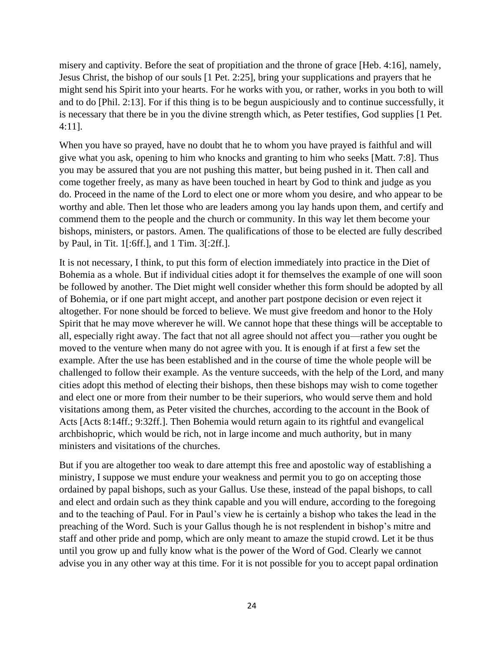misery and captivity. Before the seat of propitiation and the throne of grace [Heb. 4:16], namely, Jesus Christ, the bishop of our souls [1 Pet. 2:25], bring your supplications and prayers that he might send his Spirit into your hearts. For he works with you, or rather, works in you both to will and to do [Phil. 2:13]. For if this thing is to be begun auspiciously and to continue successfully, it is necessary that there be in you the divine strength which, as Peter testifies, God supplies [1 Pet. 4:11].

When you have so prayed, have no doubt that he to whom you have prayed is faithful and will give what you ask, opening to him who knocks and granting to him who seeks [Matt. 7:8]. Thus you may be assured that you are not pushing this matter, but being pushed in it. Then call and come together freely, as many as have been touched in heart by God to think and judge as you do. Proceed in the name of the Lord to elect one or more whom you desire, and who appear to be worthy and able. Then let those who are leaders among you lay hands upon them, and certify and commend them to the people and the church or community. In this way let them become your bishops, ministers, or pastors. Amen. The qualifications of those to be elected are fully described by Paul, in Tit. 1[:6ff.], and 1 Tim. 3[:2ff.].

It is not necessary, I think, to put this form of election immediately into practice in the Diet of Bohemia as a whole. But if individual cities adopt it for themselves the example of one will soon be followed by another. The Diet might well consider whether this form should be adopted by all of Bohemia, or if one part might accept, and another part postpone decision or even reject it altogether. For none should be forced to believe. We must give freedom and honor to the Holy Spirit that he may move wherever he will. We cannot hope that these things will be acceptable to all, especially right away. The fact that not all agree should not affect you—rather you ought be moved to the venture when many do not agree with you. It is enough if at first a few set the example. After the use has been established and in the course of time the whole people will be challenged to follow their example. As the venture succeeds, with the help of the Lord, and many cities adopt this method of electing their bishops, then these bishops may wish to come together and elect one or more from their number to be their superiors, who would serve them and hold visitations among them, as Peter visited the churches, according to the account in the Book of Acts [Acts 8:14ff.; 9:32ff.]. Then Bohemia would return again to its rightful and evangelical archbishopric, which would be rich, not in large income and much authority, but in many ministers and visitations of the churches.

But if you are altogether too weak to dare attempt this free and apostolic way of establishing a ministry, I suppose we must endure your weakness and permit you to go on accepting those ordained by papal bishops, such as your Gallus. Use these, instead of the papal bishops, to call and elect and ordain such as they think capable and you will endure, according to the foregoing and to the teaching of Paul. For in Paul's view he is certainly a bishop who takes the lead in the preaching of the Word. Such is your Gallus though he is not resplendent in bishop's mitre and staff and other pride and pomp, which are only meant to amaze the stupid crowd. Let it be thus until you grow up and fully know what is the power of the Word of God. Clearly we cannot advise you in any other way at this time. For it is not possible for you to accept papal ordination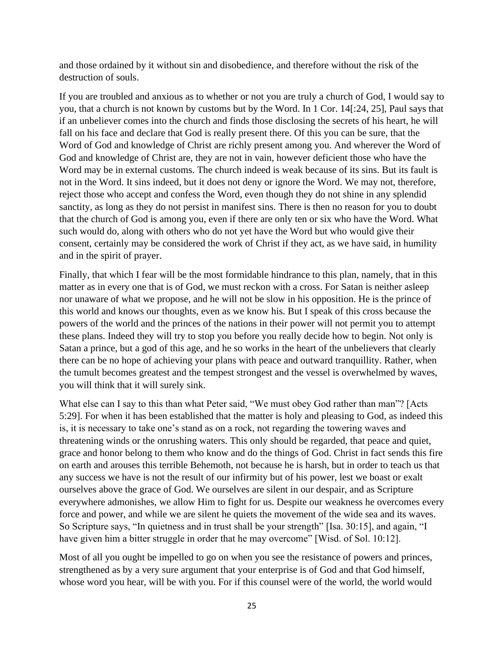and those ordained by it without sin and disobedience, and therefore without the risk of the destruction of souls.

If you are troubled and anxious as to whether or not you are truly a church of God, I would say to you, that a church is not known by customs but by the Word. In 1 Cor. 14[:24, 25], Paul says that if an unbeliever comes into the church and finds those disclosing the secrets of his heart, he will fall on his face and declare that God is really present there. Of this you can be sure, that the Word of God and knowledge of Christ are richly present among you. And wherever the Word of God and knowledge of Christ are, they are not in vain, however deficient those who have the Word may be in external customs. The church indeed is weak because of its sins. But its fault is not in the Word. It sins indeed, but it does not deny or ignore the Word. We may not, therefore, reject those who accept and confess the Word, even though they do not shine in any splendid sanctity, as long as they do not persist in manifest sins. There is then no reason for you to doubt that the church of God is among you, even if there are only ten or six who have the Word. What such would do, along with others who do not yet have the Word but who would give their consent, certainly may be considered the work of Christ if they act, as we have said, in humility and in the spirit of prayer.

Finally, that which I fear will be the most formidable hindrance to this plan, namely, that in this matter as in every one that is of God, we must reckon with a cross. For Satan is neither asleep nor unaware of what we propose, and he will not be slow in his opposition. He is the prince of this world and knows our thoughts, even as we know his. But I speak of this cross because the powers of the world and the princes of the nations in their power will not permit you to attempt these plans. Indeed they will try to stop you before you really decide how to begin. Not only is Satan a prince, but a god of this age, and he so works in the heart of the unbelievers that clearly there can be no hope of achieving your plans with peace and outward tranquillity. Rather, when the tumult becomes greatest and the tempest strongest and the vessel is overwhelmed by waves, you will think that it will surely sink.

What else can I say to this than what Peter said, "We must obey God rather than man"? [Acts 5:29]. For when it has been established that the matter is holy and pleasing to God, as indeed this is, it is necessary to take one's stand as on a rock, not regarding the towering waves and threatening winds or the onrushing waters. This only should be regarded, that peace and quiet, grace and honor belong to them who know and do the things of God. Christ in fact sends this fire on earth and arouses this terrible Behemoth, not because he is harsh, but in order to teach us that any success we have is not the result of our infirmity but of his power, lest we boast or exalt ourselves above the grace of God. We ourselves are silent in our despair, and as Scripture everywhere admonishes, we allow Him to fight for us. Despite our weakness he overcomes every force and power, and while we are silent he quiets the movement of the wide sea and its waves. So Scripture says, "In quietness and in trust shall be your strength" [Isa. 30:15], and again, "I have given him a bitter struggle in order that he may overcome" [Wisd. of Sol. 10:12].

Most of all you ought be impelled to go on when you see the resistance of powers and princes, strengthened as by a very sure argument that your enterprise is of God and that God himself, whose word you hear, will be with you. For if this counsel were of the world, the world would